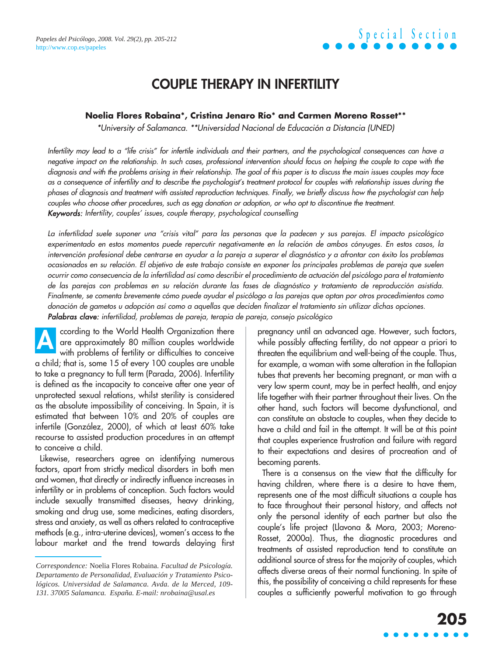### **COUPLE THERAPY IN INFERTILITY**

#### **Noelia Flores Robaina\*, Cristina Jenaro Río\* and Carmen Moreno Rosset\*\***

\*University of Salamanca. \*\*Universidad Nacional de Educación a Distancia (UNED)

Infertility may lead to a "life crisis" for infertile individuals and their partners, and the psychological consequences can have a negative impact on the relationship. In such cases, professional intervention should focus on helping the couple to cope with the diagnosis and with the problems arising in their relationship. The goal of this paper is to discuss the main issues couples may face as a consequence of infertility and to describe the psychologist's treatment protocol for couples with relationship issues during the phases of diagnosis and treatment with assisted reproduction techniques. Finally, we briefly discuss how the psychologist can help couples who choose other procedures, such as egg donation or adoption, or who opt to discontinue the treatment. Keywords: Infertility, couples' issues, couple therapy, psychological counselling

La infertilidad suele suponer una "crisis vital" para las personas que la padecen y sus parejas. El impacto psicológico experimentado en estos momentos puede repercutir negativamente en la relación de ambos cónyuges. En estos casos, la intervención profesional debe centrarse en ayudar a la pareja a superar el diagnóstico y a afrontar con éxito los problemas ocasionados en su relación. El objetivo de este trabajo consiste en exponer los principales problemas de pareja que suelen ocurrir como consecuencia de la infertilidad así como describir el procedimiento de actuación del psicólogo para el tratamiento de las parejas con problemas en su relación durante las fases de diagnóstico y tratamiento de reproducción asistida. Finalmente, se comenta brevemente cómo puede ayudar el psicólogo a las parejas que optan por otros procedimientos como donación de gametos u adopción así como a aquellas que deciden finalizar el tratamiento sin utilizar dichas opciones. Palabras clave: infertilidad, problemas de pareja, terapia de pareja, consejo psicológico

ccording to the World Health Organization there are approximately 80 million couples worldwide with problems of fertility or difficulties to conceive a child; that is, some 15 of every 100 couples are unable to take a pregnancy to full term (Parada, 2006). Infertility is defined as the incapacity to conceive after one year of unprotected sexual relations, whilst sterility is considered as the absolute impossibility of conceiving. In Spain, it is estimated that between 10% and 20% of couples are infertile (González, 2000), of which at least 60% take recourse to assisted production procedures in an attempt to conceive a child. **A**

Likewise, researchers agree on identifying numerous factors, apart from strictly medical disorders in both men and women, that directly or indirectly influence increases in infertility or in problems of conception. Such factors would include sexually transmitted diseases, heavy drinking, smoking and drug use, some medicines, eating disorders, stress and anxiety, as well as others related to contraceptive methods (e.g., intra-uterine devices), women's access to the labour market and the trend towards delaying first pregnancy until an advanced age. However, such factors, while possibly affecting fertility, do not appear a priori to threaten the equilibrium and well-being of the couple. Thus, for example, a woman with some alteration in the fallopian tubes that prevents her becoming pregnant, or man with a very low sperm count, may be in perfect health, and enjoy life together with their partner throughout their lives. On the other hand, such factors will become dysfunctional, and can constitute an obstacle to couples, when they decide to have a child and fail in the attempt. It will be at this point that couples experience frustration and failure with regard to their expectations and desires of procreation and of becoming parents.

There is a consensus on the view that the difficulty for having children, where there is a desire to have them, represents one of the most difficult situations a couple has to face throughout their personal history, and affects not only the personal identity of each partner but also the couple's life project (Llavona & Mora, 2003; Moreno-Rosset, 2000a). Thus, the diagnostic procedures and treatments of assisted reproduction tend to constitute an additional source of stress for the majority of couples, which affects diverse areas of their normal functioning. In spite of this, the possibility of conceiving a child represents for these couples a sufficiently powerful motivation to go through

*Correspondence:* Noelia Flores Robaina. *Facultad de Psicología. Departamento de Personalidad, Evaluación y Tratamiento Psicológicos. Universidad de Salamanca. Avda. de la Merced, 109- 131. 37005 Salamanca. España. E-mail: nrobaina@usal.es*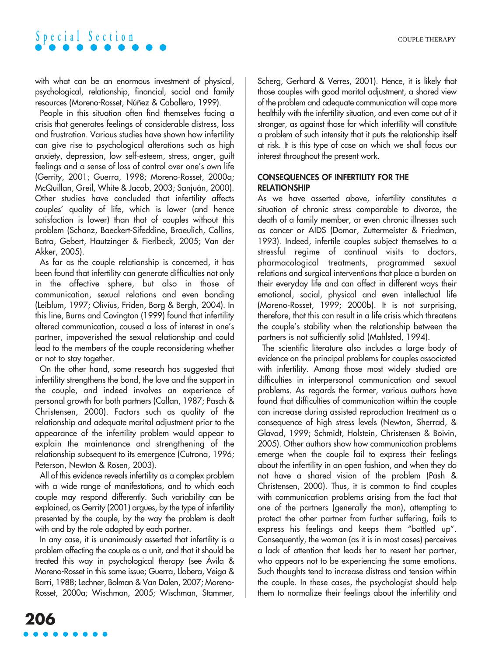

with what can be an enormous investment of physical, psychological, relationship, financial, social and family resources (Moreno-Rosset, Núñez & Caballero, 1999).

People in this situation often find themselves facing a crisis that generates feelings of considerable distress, loss and frustration. Various studies have shown how infertility can give rise to psychological alterations such as high anxiety, depression, low self-esteem, stress, anger, guilt feelings and a sense of loss of control over one's own life (Gerrity, 2001; Guerra, 1998; Moreno-Rosset, 2000a; McQuillan, Greil, White & Jacob, 2003; Sanjuán, 2000). Other studies have concluded that infertility affects couples' quality of life, which is lower (and hence satisfaction is lower) than that of couples without this problem (Schanz, Baeckert-Sifeddine, Braeulich, Collins, Batra, Gebert, Hautzinger & Fierlbeck, 2005; Van der Akker, 2005).

As far as the couple relationship is concerned, it has been found that infertility can generate difficulties not only in the affective sphere, but also in those of communication, sexual relations and even bonding (Leiblum, 1997; Olivius, Friden, Borg & Bergh, 2004). In this line, Burns and Covington (1999) found that infertility altered communication, caused a loss of interest in one's partner, impoverished the sexual relationship and could lead to the members of the couple reconsidering whether or not to stay together.

On the other hand, some research has suggested that infertility strengthens the bond, the love and the support in the couple, and indeed involves an experience of personal growth for both partners (Callan, 1987; Pasch & Christensen, 2000). Factors such as quality of the relationship and adequate marital adjustment prior to the appearance of the infertility problem would appear to explain the maintenance and strengthening of the relationship subsequent to its emergence (Cutrona, 1996; Peterson, Newton & Rosen, 2003).

All of this evidence reveals infertility as a complex problem with a wide range of manifestations, and to which each couple may respond differently. Such variability can be explained, as Gerrity (2001) argues, by the type of infertility presented by the couple, by the way the problem is dealt with and by the role adopted by each partner.

In any case, it is unanimously asserted that infertility is a problem affecting the couple as a unit, and that it should be treated this way in psychological therapy (see Ávila & Moreno-Rosset in this same issue; Guerra, Llobera, Veiga & Barri, 1988; Lechner, Bolman & Van Dalen, 2007; Moreno-Rosset, 2000a; Wischman, 2005; Wischman, Stammer, Scherg, Gerhard & Verres, 2001). Hence, it is likely that those couples with good marital adjustment, a shared view of the problem and adequate communication will cope more healthily with the infertility situation, and even come out of it stronger, as against those for which infertility will constitute a problem of such intensity that it puts the relationship itself at risk. It is this type of case on which we shall focus our interest throughout the present work.

#### **CONSEQUENCES OF INFERTILITY FOR THE RELATIONSHIP**

As we have asserted above, infertility constitutes a situation of chronic stress comparable to divorce, the death of a family member, or even chronic illnesses such as cancer or AIDS (Domar, Zuttermeister & Friedman, 1993). Indeed, infertile couples subject themselves to a stressful regime of continual visits to doctors, pharmacological treatments, programmed sexual relations and surgical interventions that place a burden on their everyday life and can affect in different ways their emotional, social, physical and even intellectual life (Moreno-Rosset, 1999; 2000b). It is not surprising, therefore, that this can result in a life crisis which threatens the couple's stability when the relationship between the partners is not sufficiently solid (Mahlsted, 1994).

The scientific literature also includes a large body of evidence on the principal problems for couples associated with infertility. Among those most widely studied are difficulties in interpersonal communication and sexual problems. As regards the former, various authors have found that difficulties of communication within the couple can increase during assisted reproduction treatment as a consequence of high stress levels (Newton, Sherrad, & Glavad, 1999; Schmidt, Holstein, Christensen & Boivin, 2005). Other authors show how communication problems emerge when the couple fail to express their feelings about the infertility in an open fashion, and when they do not have a shared vision of the problem (Pash & Christensen, 2000). Thus, it is common to find couples with communication problems arising from the fact that one of the partners (generally the man), attempting to protect the other partner from further suffering, fails to express his feelings and keeps them "bottled up". Consequently, the woman (as it is in most cases) perceives a lack of attention that leads her to resent her partner, who appears not to be experiencing the same emotions. Such thoughts tend to increase distress and tension within the couple. In these cases, the psychologist should help them to normalize their feelings about the infertility and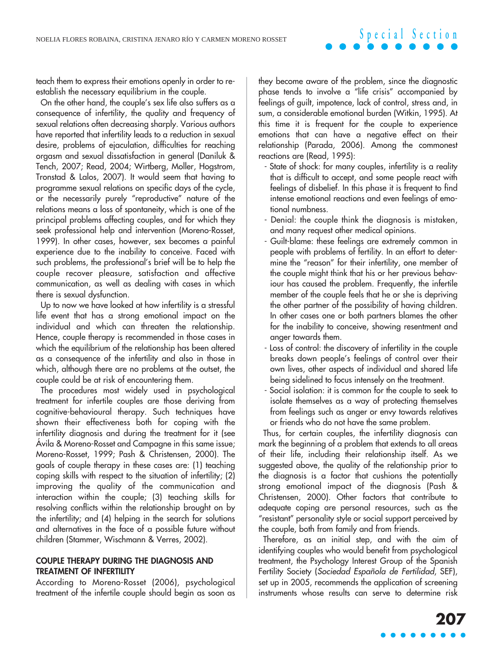### **Special Section**

teach them to express their emotions openly in order to reestablish the necessary equilibrium in the couple.

On the other hand, the couple's sex life also suffers as a consequence of infertility, the quality and frequency of sexual relations often decreasing sharply. Various authors have reported that infertility leads to a reduction in sexual desire, problems of ejaculation, difficulties for reaching orgasm and sexual dissatisfaction in general (Daniluk & Tench, 2007; Read, 2004; Wirtberg, Moller, Hogstrom, Tronstad & Lalos, 2007). It would seem that having to programme sexual relations on specific days of the cycle, or the necessarily purely "reproductive" nature of the relations means a loss of spontaneity, which is one of the principal problems affecting couples, and for which they seek professional help and intervention (Moreno-Rosset, 1999). In other cases, however, sex becomes a painful experience due to the inability to conceive. Faced with such problems, the professional's brief will be to help the couple recover pleasure, satisfaction and affective communication, as well as dealing with cases in which there is sexual dysfunction.

Up to now we have looked at how infertility is a stressful life event that has a strong emotional impact on the individual and which can threaten the relationship. Hence, couple therapy is recommended in those cases in which the equilibrium of the relationship has been altered as a consequence of the infertility and also in those in which, although there are no problems at the outset, the couple could be at risk of encountering them.

The procedures most widely used in psychological treatment for infertile couples are those deriving from cognitive-behavioural therapy. Such techniques have shown their effectiveness both for coping with the infertility diagnosis and during the treatment for it (see Ávila & Moreno-Rosset and Campagne in this same issue; Moreno-Rosset, 1999; Pash & Christensen, 2000). The goals of couple therapy in these cases are: (1) teaching coping skills with respect to the situation of infertility; (2) improving the quality of the communication and interaction within the couple; (3) teaching skills for resolving conflicts within the relationship brought on by the infertility; and (4) helping in the search for solutions and alternatives in the face of a possible future without children (Stammer, Wischmann & Verres, 2002).

#### **COUPLE THERAPY DURING THE DIAGNOSIS AND TREATMENT OF INFERTILITY**

According to Moreno-Rosset (2006), psychological treatment of the infertile couple should begin as soon as they become aware of the problem, since the diagnostic phase tends to involve a "life crisis" accompanied by feelings of guilt, impotence, lack of control, stress and, in sum, a considerable emotional burden (Witkin, 1995). At this time it is frequent for the couple to experience emotions that can have a negative effect on their relationship (Parada, 2006). Among the commonest reactions are (Read, 1995):

- State of shock: for many couples, infertility is a reality that is difficult to accept, and some people react with feelings of disbelief. In this phase it is frequent to find intense emotional reactions and even feelings of emotional numbness.
- Denial: the couple think the diagnosis is mistaken, and many request other medical opinions.
- Guilt-blame: these feelings are extremely common in people with problems of fertility. In an effort to determine the "reason" for their infertility, one member of the couple might think that his or her previous behaviour has caused the problem. Frequently, the infertile member of the couple feels that he or she is depriving the other partner of the possibility of having children. In other cases one or both partners blames the other for the inability to conceive, showing resentment and anger towards them.
- Loss of control: the discovery of infertility in the couple breaks down people's feelings of control over their own lives, other aspects of individual and shared life being sidelined to focus intensely on the treatment.
- Social isolation: it is common for the couple to seek to isolate themselves as a way of protecting themselves from feelings such as anger or envy towards relatives or friends who do not have the same problem.

Thus, for certain couples, the infertility diagnosis can mark the beginning of a problem that extends to all areas of their life, including their relationship itself. As we suggested above, the quality of the relationship prior to the diagnosis is a factor that cushions the potentially strong emotional impact of the diagnosis (Pash & Christensen, 2000). Other factors that contribute to adequate coping are personal resources, such as the "resistant" personality style or social support perceived by the couple, both from family and from friends.

Therefore, as an initial step, and with the aim of identifying couples who would benefit from psychological treatment, the Psychology Interest Group of the Spanish Fertility Society (Sociedad Española de Fertilidad, SEF), set up in 2005, recommends the application of screening instruments whose results can serve to determine risk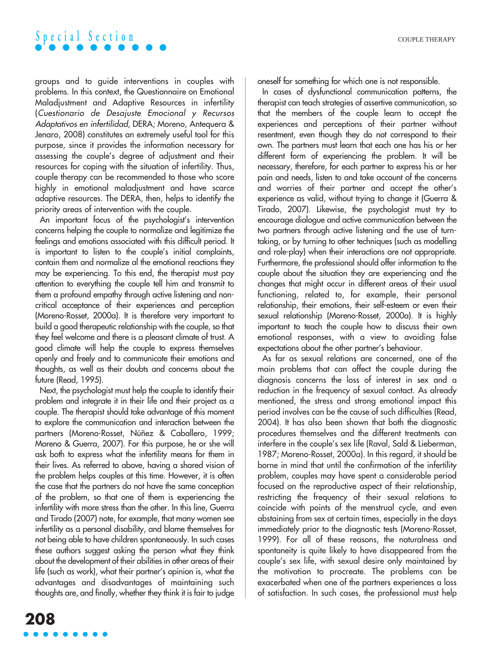

groups and to guide interventions in couples with problems. In this context, the Questionnaire on Emotional Maladjustment and Adaptive Resources in infertility (Cuestionario de Desajuste Emocional y Recursos Adaptativos en infertilidad, DERA; Moreno, Antequera & Jenaro, 2008) constitutes an extremely useful tool for this purpose, since it provides the information necessary for assessing the couple's degree of adjustment and their resources for coping with the situation of infertility. Thus, couple therapy can be recommended to those who score highly in emotional maladjustment and have scarce adaptive resources. The DERA, then, helps to identify the priority areas of intervention with the couple.

An important focus of the psychologist's intervention concerns helping the couple to normalize and legitimize the feelings and emotions associated with this difficult period. It is important to listen to the couple's initial complaints, contain them and normalize al the emotional reactions they may be experiencing. To this end, the therapist must pay attention to everything the couple tell him and transmit to them a profound empathy through active listening and noncritical acceptance of their experiences and perception (Moreno-Rosset, 2000a). It is therefore very important to build a good therapeutic relationship with the couple, so that they feel welcome and there is a pleasant climate of trust. A good climate will help the couple to express themselves openly and freely and to communicate their emotions and thoughts, as well as their doubts and concerns about the future (Read, 1995).

Next, the psychologist must help the couple to identify their problem and integrate it in their life and their project as a couple. The therapist should take advantage of this moment to explore the communication and interaction between the partners (Moreno-Rosset, Núñez & Caballero, 1999; Moreno & Guerra, 2007). For this purpose, he or she will ask both to express what the infertility means for them in their lives. As referred to above, having a shared vision of the problem helps couples at this time. However, it is often the case that the partners do not have the same conception of the problem, so that one of them is experiencing the infertility with more stress than the other. In this line, Guerra and Tirado (2007) note, for example, that many women see infertility as a personal disability, and blame themselves for not being able to have children spontaneously. In such cases these authors suggest asking the person what they think about the development of their abilities in other areas of their life (such as work), what their partner's opinion is, what the advantages and disadvantages of maintaining such thoughts are, and finally, whether they think it is fair to judge oneself for something for which one is not responsible.

In cases of dysfunctional communication patterns, the therapist can teach strategies of assertive communication, so that the members of the couple learn to accept the experiences and perceptions of their partner without resentment, even though they do not correspond to their own. The partners must learn that each one has his or her different form of experiencing the problem. It will be necessary, therefore, for each partner to express his or her pain and needs, listen to and take account of the concerns and worries of their partner and accept the other's experience as valid, without trying to change it (Guerra & Tirado, 2007). Likewise, the psychologist must try to encourage dialogue and active communication between the two partners through active listening and the use of turntaking, or by turning to other techniques (such as modelling and role-play) when their interactions are not appropriate. Furthermore, the professional should offer information to the couple about the situation they are experiencing and the changes that might occur in different areas of their usual functioning, related to, for example, their personal relationship, their emotions, their self-esteem or even their sexual relationship (Moreno-Rosset, 2000a). It is highly important to teach the couple how to discuss their own emotional responses, with a view to avoiding false expectations about the other partner's behaviour.

As far as sexual relations are concerned, one of the main problems that can affect the couple during the diagnosis concerns the loss of interest in sex and a reduction in the frequency of sexual contact. As already mentioned, the stress and strong emotional impact this period involves can be the cause of such difficulties (Read, 2004). It has also been shown that both the diagnostic procedures themselves and the different treatments can interfere in the couple's sex life (Raval, Sald & Lieberman, 1987; Moreno-Rosset, 2000a). In this regard, it should be borne in mind that until the confirmation of the infertility problem, couples may have spent a considerable period focused on the reproductive aspect of their relationship, restricting the frequency of their sexual relations to coincide with points of the menstrual cycle, and even abstaining from sex at certain times, especially in the days immediately prior to the diagnostic tests (Moreno-Rosset, 1999). For all of these reasons, the naturalness and spontaneity is quite likely to have disappeared from the couple's sex life, with sexual desire only maintained by the motivation to procreate. The problems can be exacerbated when one of the partners experiences a loss of satisfaction. In such cases, the professional must help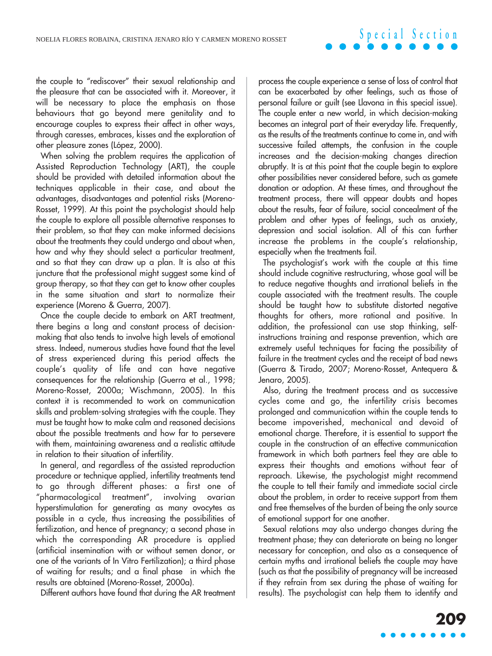## **Special Section**

the couple to "rediscover" their sexual relationship and the pleasure that can be associated with it. Moreover, it will be necessary to place the emphasis on those behaviours that go beyond mere genitality and to encourage couples to express their affect in other ways, through caresses, embraces, kisses and the exploration of other pleasure zones (López, 2000).

When solving the problem requires the application of Assisted Reproduction Technology (ART), the couple should be provided with detailed information about the techniques applicable in their case, and about the advantages, disadvantages and potential risks (Moreno-Rosset, 1999). At this point the psychologist should help the couple to explore all possible alternative responses to their problem, so that they can make informed decisions about the treatments they could undergo and about when, how and why they should select a particular treatment, and so that they can draw up a plan. It is also at this juncture that the professional might suggest some kind of group therapy, so that they can get to know other couples in the same situation and start to normalize their experience (Moreno & Guerra, 2007).

Once the couple decide to embark on ART treatment, there begins a long and constant process of decisionmaking that also tends to involve high levels of emotional stress. Indeed, numerous studies have found that the level of stress experienced during this period affects the couple's quality of life and can have negative consequences for the relationship (Guerra et al., 1998; Moreno-Rosset, 2000a; Wischmann, 2005). In this context it is recommended to work on communication skills and problem-solving strategies with the couple. They must be taught how to make calm and reasoned decisions about the possible treatments and how far to persevere with them, maintaining awareness and a realistic attitude in relation to their situation of infertility.

In general, and regardless of the assisted reproduction procedure or technique applied, infertility treatments tend to go through different phases: a first one of "pharmacological treatment", involving ovarian hyperstimulation for generating as many ovocytes as possible in a cycle, thus increasing the possibilities of fertilization, and hence of pregnancy; a second phase in which the corresponding AR procedure is applied (artificial insemination with or without semen donor, or one of the variants of In Vitro Fertilization); a third phase of waiting for results; and a final phase in which the results are obtained (Moreno-Rosset, 2000a).

Different authors have found that during the AR treatment

process the couple experience a sense of loss of control that can be exacerbated by other feelings, such as those of personal failure or guilt (see Llavona in this special issue). The couple enter a new world, in which decision-making becomes an integral part of their everyday life. Frequently, as the results of the treatments continue to come in, and with successive failed attempts, the confusion in the couple increases and the decision-making changes direction abruptly. It is at this point that the couple begin to explore other possibilities never considered before, such as gamete donation or adoption. At these times, and throughout the treatment process, there will appear doubts and hopes about the results, fear of failure, social concealment of the problem and other types of feelings, such as anxiety, depression and social isolation. All of this can further increase the problems in the couple's relationship, especially when the treatments fail.

The psychologist's work with the couple at this time should include cognitive restructuring, whose goal will be to reduce negative thoughts and irrational beliefs in the couple associated with the treatment results. The couple should be taught how to substitute distorted negative thoughts for others, more rational and positive. In addition, the professional can use stop thinking, selfinstructions training and response prevention, which are extremely useful techniques for facing the possibility of failure in the treatment cycles and the receipt of bad news (Guerra & Tirado, 2007; Moreno-Rosset, Antequera & Jenaro, 2005).

Also, during the treatment process and as successive cycles come and go, the infertility crisis becomes prolonged and communication within the couple tends to become impoverished, mechanical and devoid of emotional charge. Therefore, it is essential to support the couple in the construction of an effective communication framework in which both partners feel they are able to express their thoughts and emotions without fear of reproach. Likewise, the psychologist might recommend the couple to tell their family and immediate social circle about the problem, in order to receive support from them and free themselves of the burden of being the only source of emotional support for one another.

Sexual relations may also undergo changes during the treatment phase; they can deteriorate on being no longer necessary for conception, and also as a consequence of certain myths and irrational beliefs the couple may have (such as that the possibility of pregnancy will be increased if they refrain from sex during the phase of waiting for results). The psychologist can help them to identify and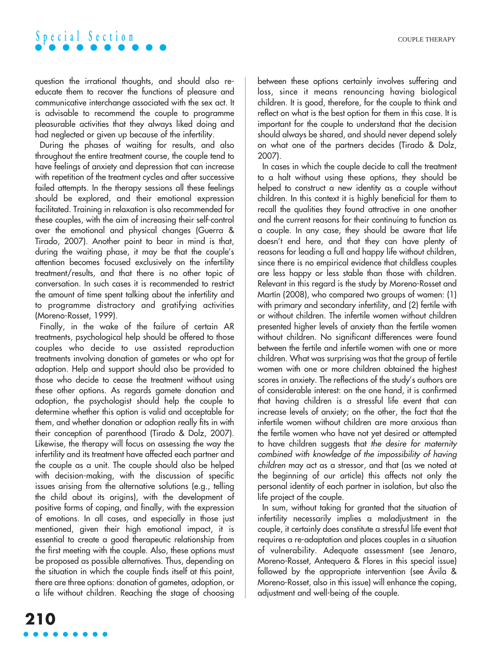

question the irrational thoughts, and should also reeducate them to recover the functions of pleasure and communicative interchange associated with the sex act. It is advisable to recommend the couple to programme pleasurable activities that they always liked doing and had neglected or given up because of the infertility.

During the phases of waiting for results, and also throughout the entire treatment course, the couple tend to have feelings of anxiety and depression that can increase with repetition of the treatment cycles and after successive failed attempts. In the therapy sessions all these feelings should be explored, and their emotional expression facilitated. Training in relaxation is also recommended for these couples, with the aim of increasing their self-control over the emotional and physical changes (Guerra & Tirado, 2007). Another point to bear in mind is that, during the waiting phase, it may be that the couple's attention becomes focused exclusively on the infertility treatment/results, and that there is no other topic of conversation. In such cases it is recommended to restrict the amount of time spent talking about the infertility and to programme distractory and gratifying activities (Moreno-Rosset, 1999).

Finally, in the wake of the failure of certain AR treatments, psychological help should be offered to those couples who decide to use assisted reproduction treatments involving donation of gametes or who opt for adoption. Help and support should also be provided to those who decide to cease the treatment without using these other options. As regards gamete donation and adoption, the psychologist should help the couple to determine whether this option is valid and acceptable for them, and whether donation or adoption really fits in with their conception of parenthood (Tirado & Dolz, 2007). Likewise, the therapy will focus on assessing the way the infertility and its treatment have affected each partner and the couple as a unit. The couple should also be helped with decision-making, with the discussion of specific issues arising from the alternative solutions (e.g., telling the child about its origins), with the development of positive forms of coping, and finally, with the expression of emotions. In all cases, and especially in those just mentioned, given their high emotional impact, it is essential to create a good therapeutic relationship from the first meeting with the couple. Also, these options must be proposed as possible alternatives. Thus, depending on the situation in which the couple finds itself at this point, there are three options: donation of gametes, adoption, or a life without children. Reaching the stage of choosing between these options certainly involves suffering and loss, since it means renouncing having biological children. It is good, therefore, for the couple to think and reflect on what is the best option for them in this case. It is important for the couple to understand that the decision should always be shared, and should never depend solely on what one of the partners decides (Tirado & Dolz, 2007).

In cases in which the couple decide to call the treatment to a halt without using these options, they should be helped to construct a new identity as a couple without children. In this context it is highly beneficial for them to recall the qualities they found attractive in one another and the current reasons for their continuing to function as a couple. In any case, they should be aware that life doesn't end here, and that they can have plenty of reasons for leading a full and happy life without children, since there is no empirical evidence that childless couples are less happy or less stable than those with children. Relevant in this regard is the study by Moreno-Rosset and Martín (2008), who compared two groups of women: (1) with primary and secondary infertility, and (2) fertile with or without children. The infertile women without children presented higher levels of anxiety than the fertile women without children. No significant differences were found between the fertile and infertile women with one or more children. What was surprising was that the group of fertile women with one or more children obtained the highest scores in anxiety. The reflections of the study's authors are of considerable interest: on the one hand, it is confirmed that having children is a stressful life event that can increase levels of anxiety; on the other, the fact that the infertile women without children are more anxious than the fertile women who have not yet desired or attempted to have children suggests that the desire for maternity combined with knowledge of the impossibility of having children may act as a stressor, and that (as we noted at the beginning of our article) this affects not only the personal identity of each partner in isolation, but also the life project of the couple.

In sum, without taking for granted that the situation of infertility necessarily implies a maladjustment in the couple, it certainly does constitute a stressful life event that requires a re-adaptation and places couples in a situation of vulnerability. Adequate assessment (see Jenaro, Moreno-Rosset, Antequera & Flores in this special issue) followed by the appropriate intervention (see Ávila & Moreno-Rosset, also in this issue) will enhance the coping, adjustment and well-being of the couple.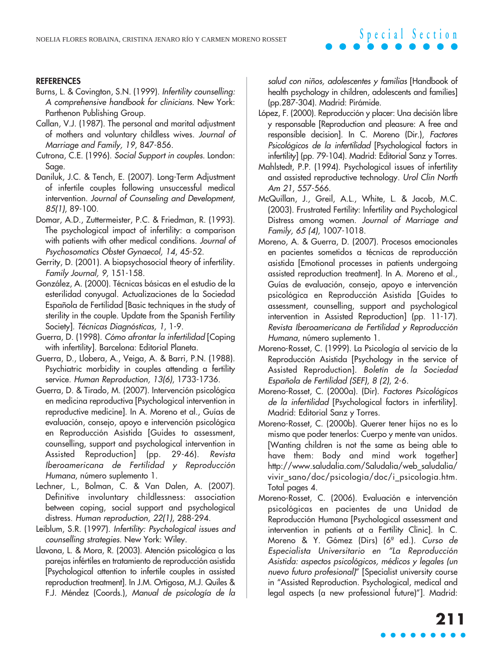#### **REFERENCES**

- Burns, L. & Covington, S.N. (1999). Infertility counselling: A comprehensive handbook for clinicians. New York: Parthenon Publishing Group.
- Callan, V.J. (1987). The personal and marital adjustment of mothers and voluntary childless wives. Journal of Marriage and Family, 19, 847-856.
- Cutrona, C.E. (1996). Social Support in couples. London: Sage.
- Daniluk, J.C. & Tench, E. (2007). Long-Term Adjustment of infertile couples following unsuccessful medical intervention. Journal of Counseling and Development, 85(1), 89-100.
- Domar, A.D., Zuttermeister, P.C. & Friedman, R. (1993). The psychological impact of infertility: a comparison with patients with other medical conditions. Journal of Psychosomatics Obstet Gynaecol, 14, 45-52.
- Gerrity, D. (2001). A biopsychosocial theory of infertility. Family Journal, 9, 151-158.
- González, A. (2000). Técnicas básicas en el estudio de la esterilidad conyugal. Actualizaciones de la Sociedad Española de Fertilidad [Basic techniques in the study of sterility in the couple. Update from the Spanish Fertility Society]. Técnicas Diagnósticas, 1, 1-9.
- Guerra, D. (1998). Cómo afrontar la infertilidad [Coping with infertility]. Barcelona: Editorial Planeta.
- Guerra, D., Llobera, A., Veiga, A. & Barri, P.N. (1988). Psychiatric morbidity in couples attending a fertility service. Human Reproduction, 13(6), 1733-1736.
- Guerra, D. & Tirado, M. (2007). Intervención psicológica en medicina reproductiva [Psychological intervention in reproductive medicine]. In A. Moreno et al., Guías de evaluación, consejo, apoyo e intervención psicológica en Reproducción Asistida [Guides to assessment, counselling, support and psychological intervention in Assisted Reproduction] (pp. 29-46). Revista Iberoamericana de Fertilidad y Reproducción Humana, número suplemento 1.
- Lechner, L., Bolman, C. & Van Dalen, A. (2007). Definitive involuntary childlessness: association between coping, social support and psychological distress. Human reproduction, 22(1), 288-294.
- Leiblum, S.R. (1997). Infertility: Psychological issues and counselling strategies. New York: Wiley.
- Llavona, L. & Mora, R. (2003). Atención psicológica a las parejas infértiles en tratamiento de reproducción asistida [Psychological attention to infertile couples in assisted reproduction treatment]. In J.M. Ortigosa, M.J. Quiles & F.J. Méndez (Coords.), Manual de psicología de la

salud con niños, adolescentes y familias [Handbook of health psychology in children, adolescents and families] (pp.287-304). Madrid: Pirámide.

- López, F. (2000). Reproducción y placer: Una decisión libre y responsable [Reproduction and pleasure: A free and responsible decision]. In C. Moreno (Dir.), Factores Psicológicos de la infertilidad [Psychological factors in infertility] (pp. 79-104). Madrid: Editorial Sanz y Torres.
- Mahlstedt, P.P. (1994). Psychological issues of infertility and assisted reproductive technology. Urol Clin North Am 21, 557-566.
- McQuillan, J., Greil, A.L., White, L. & Jacob, M.C. (2003). Frustrated Fertility: Infertility and Psychological Distress among women. Journal of Marriage and Family, 65 (4), 1007-1018.
- Moreno, A. & Guerra, D. (2007). Procesos emocionales en pacientes sometidos a técnicas de reproducción asistida [Emotional processes in patients undergoing assisted reproduction treatment]. In A. Moreno et al., Guías de evaluación, consejo, apoyo e intervención psicológica en Reproducción Asistida [Guides to assessment, counselling, support and psychological intervention in Assisted Reproduction] (pp. 11-17). Revista Iberoamericana de Fertilidad y Reproducción Humana, número suplemento 1.
- Moreno-Rosset, C. (1999). La Psicología al servicio de la Reproducción Asistida [Psychology in the service of Assisted Reproduction]. Boletín de la Sociedad Española de Fertilidad (SEF), 8 (2), 2-6.
- Moreno-Rosset, C. (2000a). (Dir). Factores Psicológicos de la infertilidad [Psychological factors in infertility]. Madrid: Editorial Sanz y Torres.
- Moreno-Rosset, C. (2000b). Querer tener hijos no es lo mismo que poder tenerlos: Cuerpo y mente van unidos. [Wanting children is not the same as being able to have them: Body and mind work together] http://www.saludalia.com/Saludalia/web\_saludalia/ vivir\_sano/doc/psicologia/doc/i\_psicologia.htm. Total pages 4.
- Moreno-Rosset, C. (2006). Evaluación e intervención psicológicas en pacientes de una Unidad de Reproducción Humana [Psychological assessment and intervention in patients at a Fertility Clinic]. In C. Moreno & Y. Gómez (Dirs) (6ª ed.). Curso de Especialista Universitario en "La Reproducción Asistida: aspectos psicológicos, médicos y legales (un nuevo futuro profesional)" [Specialist university course in "Assisted Reproduction. Psychological, medical and legal aspects (a new professional future)"]. Madrid: